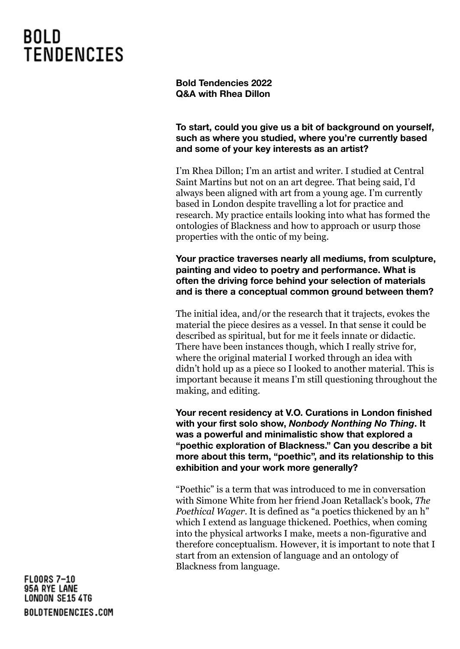### **BOLD TENDENCIES**

**Bold Tendencies 2022 Q&A with Rhea Dillon**

**To start, could you give us a bit of background on yourself, such as where you studied, where you're currently based and some of your key interests as an artist?**

I'm Rhea Dillon; I'm an artist and writer. I studied at Central Saint Martins but not on an art degree. That being said, I'd always been aligned with art from a young age. I'm currently based in London despite travelling a lot for practice and research. My practice entails looking into what has formed the ontologies of Blackness and how to approach or usurp those properties with the ontic of my being.

**Your practice traverses nearly all mediums, from sculpture, painting and video to poetry and performance. What is often the driving force behind your selection of materials and is there a conceptual common ground between them?**

The initial idea, and/or the research that it trajects, evokes the material the piece desires as a vessel. In that sense it could be described as spiritual, but for me it feels innate or didactic. There have been instances though, which I really strive for, where the original material I worked through an idea with didn't hold up as a piece so I looked to another material. This is important because it means I'm still questioning throughout the making, and editing.

**Your recent residency at V.O. Curations in London finished with your first solo show,** *Nonbody Nonthing No Thing***. It was a powerful and minimalistic show that explored a "poethic exploration of Blackness." Can you describe a bit more about this term, "poethic", and its relationship to this exhibition and your work more generally?**

"Poethic" is a term that was introduced to me in conversation with Simone White from her friend Joan Retallack's book, *The Poethical Wager*. It is defined as "a poetics thickened by an h" which I extend as language thickened. Poethics, when coming into the physical artworks I make, meets a non-figurative and therefore conceptualism. However, it is important to note that I start from an extension of language and an ontology of Blackness from language.

**FLOORS 7-10** 95A RYE LANE **LONDON SE15 4TG** BOLDTENDENCIES.COM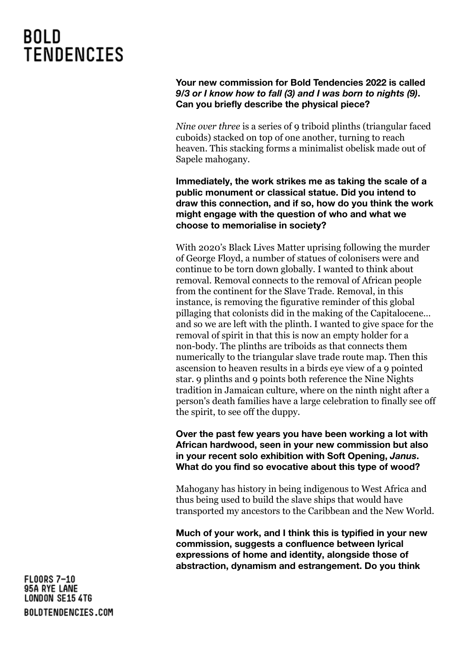# **BOLD TENDENCIES**

### **Your new commission for Bold Tendencies 2022 is called** *9/3 or I know how to fall (3) and I was born to nights (9)***. Can you briefly describe the physical piece?**

*Nine over three* is a series of 9 triboid plinths (triangular faced cuboids) stacked on top of one another, turning to reach heaven. This stacking forms a minimalist obelisk made out of Sapele mahogany.

**Immediately, the work strikes me as taking the scale of a public monument or classical statue. Did you intend to draw this connection, and if so, how do you think the work might engage with the question of who and what we choose to memorialise in society?**

With 2020's Black Lives Matter uprising following the murder of George Floyd, a number of statues of colonisers were and continue to be torn down globally. I wanted to think about removal. Removal connects to the removal of African people from the continent for the Slave Trade. Removal, in this instance, is removing the figurative reminder of this global pillaging that colonists did in the making of the Capitalocene… and so we are left with the plinth. I wanted to give space for the removal of spirit in that this is now an empty holder for a non-body. The plinths are triboids as that connects them numerically to the triangular slave trade route map. Then this ascension to heaven results in a birds eye view of a 9 pointed star. 9 plinths and 9 points both reference the Nine Nights tradition in Jamaican culture, where on the ninth night after a person's death families have a large celebration to finally see off the spirit, to see off the duppy.

**Over the past few years you have been working a lot with African hardwood, seen in your new commission but also in your recent solo exhibition with Soft Opening,** *Janus***. What do you find so evocative about this type of wood?**

Mahogany has history in being indigenous to West Africa and thus being used to build the slave ships that would have transported my ancestors to the Caribbean and the New World.

**Much of your work, and I think this is typified in your new commission, suggests a confluence between lyrical expressions of home and identity, alongside those of abstraction, dynamism and estrangement. Do you think**

**FLOORS 7-10** 95A RYE LANE **LONDON SE15 4TG** BOLDTENDENCIES.COM